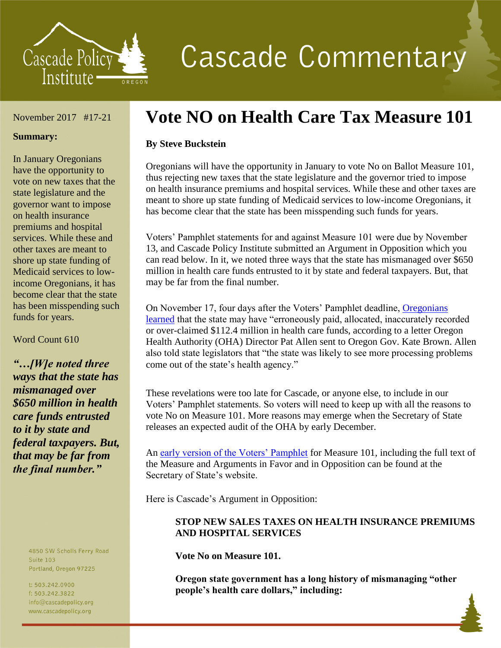

# **Cascade Commentary**

#### November 2017 #17-21

#### **Summary:**

In January Oregonians have the opportunity to vote on new taxes that the state legislature and the governor want to impose on health insurance premiums and hospital services. While these and other taxes are meant to shore up state funding of Medicaid services to lowincome Oregonians, it has become clear that the state has been misspending such funds for years.

Word Count 610

*"…[W]e noted three ways that the state has mismanaged over \$650 million in health care funds entrusted to it by state and federal taxpayers. But, that may be far from the final number."*

> 4850 SW Scholls Ferry Road **Suite 103** Portland, Oregon 97225

t: 503.242.0900 f: 503.242.3822 info@cascadepolicy.org www.cascadepolicy.org

# **Vote NO on Health Care Tax Measure 101**

### **By Steve Buckstein**

Oregonians will have the opportunity in January to vote No on Ballot Measure 101, thus rejecting new taxes that the state legislature and the governor tried to impose on health insurance premiums and hospital services. While these and other taxes are meant to shore up state funding of Medicaid services to low-income Oregonians, it has become clear that the state has been misspending such funds for years.

Voters' Pamphlet statements for and against Measure 101 were due by November 13, and Cascade Policy Institute submitted an Argument in Opposition which you can read below. In it, we noted three ways that the state has mismanaged over \$650 million in health care funds entrusted to it by state and federal taxpayers. But, that may be far from the final number.

On November 17, four days after the Voters' Pamphlet deadline, [Oregonians](http://portlandtribune.com/pt/9-news/378986-265874-oha-director-details-another-112-million-in-possible-medicaid-errors)  [learned](http://portlandtribune.com/pt/9-news/378986-265874-oha-director-details-another-112-million-in-possible-medicaid-errors) that the state may have "erroneously paid, allocated, inaccurately recorded or over-claimed \$112.4 million in health care funds, according to a letter Oregon Health Authority (OHA) Director Pat Allen sent to Oregon Gov. Kate Brown. Allen also told state legislators that "the state was likely to see more processing problems come out of the state's health agency."

These revelations were too late for Cascade, or anyone else, to include in our Voters' Pamphlet statements. So voters will need to keep up with all the reasons to vote No on Measure 101. More reasons may emerge when the Secretary of State releases an expected audit of the OHA by early December.

An [early version of the Voters' Pamphlet](http://oregonvotes.gov/voters-guide-military/votersguide.html) for Measure 101, including the full text of the Measure and Arguments in Favor and in Opposition can be found at the Secretary of State's website.

Here is Cascade's Argument in Opposition:

## **STOP NEW SALES TAXES ON HEALTH INSURANCE PREMIUMS AND HOSPITAL SERVICES**

**Vote No on Measure 101.**

**Oregon state government has a long history of mismanaging "other people's health care dollars," including:**